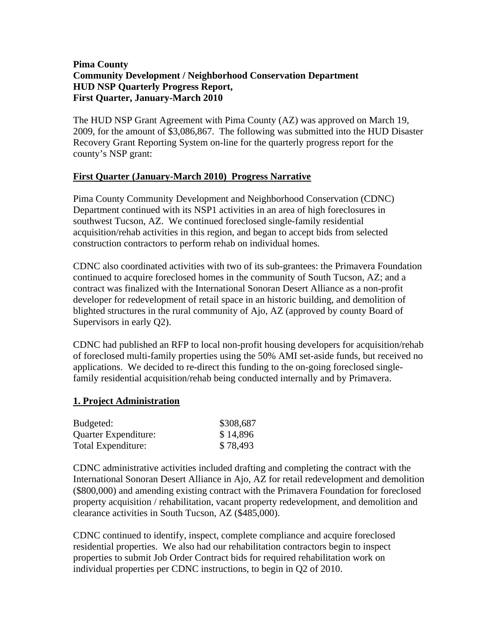# **Pima County Community Development / Neighborhood Conservation Department HUD NSP Quarterly Progress Report, First Quarter, January-March 2010**

The HUD NSP Grant Agreement with Pima County (AZ) was approved on March 19, 2009, for the amount of \$3,086,867. The following was submitted into the HUD Disaster Recovery Grant Reporting System on-line for the quarterly progress report for the county's NSP grant:

# **First Quarter (January-March 2010) Progress Narrative**

Pima County Community Development and Neighborhood Conservation (CDNC) Department continued with its NSP1 activities in an area of high foreclosures in southwest Tucson, AZ. We continued foreclosed single-family residential acquisition/rehab activities in this region, and began to accept bids from selected construction contractors to perform rehab on individual homes.

CDNC also coordinated activities with two of its sub-grantees: the Primavera Foundation continued to acquire foreclosed homes in the community of South Tucson, AZ; and a contract was finalized with the International Sonoran Desert Alliance as a non-profit developer for redevelopment of retail space in an historic building, and demolition of blighted structures in the rural community of Ajo, AZ (approved by county Board of Supervisors in early Q2).

CDNC had published an RFP to local non-profit housing developers for acquisition/rehab of foreclosed multi-family properties using the 50% AMI set-aside funds, but received no applications. We decided to re-direct this funding to the on-going foreclosed singlefamily residential acquisition/rehab being conducted internally and by Primavera.

# **1. Project Administration**

| Budgeted:            | \$308,687 |
|----------------------|-----------|
| Quarter Expenditure: | \$14,896  |
| Total Expenditure:   | \$78,493  |

CDNC administrative activities included drafting and completing the contract with the International Sonoran Desert Alliance in Ajo, AZ for retail redevelopment and demolition (\$800,000) and amending existing contract with the Primavera Foundation for foreclosed property acquisition / rehabilitation, vacant property redevelopment, and demolition and clearance activities in South Tucson, AZ (\$485,000).

CDNC continued to identify, inspect, complete compliance and acquire foreclosed residential properties. We also had our rehabilitation contractors begin to inspect properties to submit Job Order Contract bids for required rehabilitation work on individual properties per CDNC instructions, to begin in Q2 of 2010.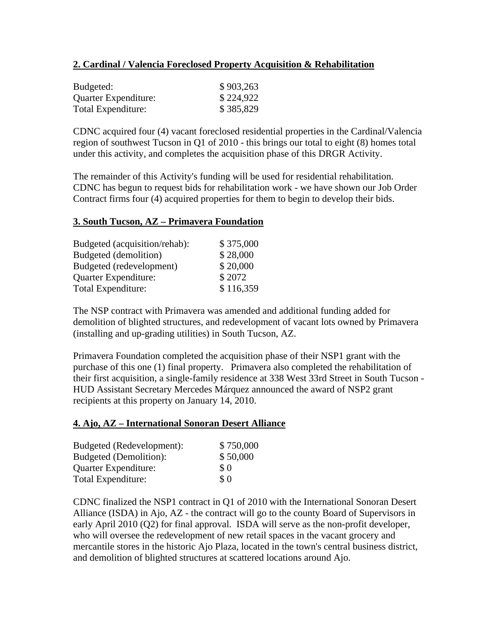## **2. Cardinal / Valencia Foreclosed Property Acquisition & Rehabilitation**

| Budgeted:            | \$903,263 |
|----------------------|-----------|
| Quarter Expenditure: | \$224,922 |
| Total Expenditure:   | \$385,829 |

CDNC acquired four (4) vacant foreclosed residential properties in the Cardinal/Valencia region of southwest Tucson in Q1 of 2010 - this brings our total to eight (8) homes total under this activity, and completes the acquisition phase of this DRGR Activity.

The remainder of this Activity's funding will be used for residential rehabilitation. CDNC has begun to request bids for rehabilitation work - we have shown our Job Order Contract firms four (4) acquired properties for them to begin to develop their bids.

### **3. South Tucson, AZ – Primavera Foundation**

| \$375,000 |
|-----------|
| \$28,000  |
| \$20,000  |
| \$2072    |
| \$116,359 |
|           |

The NSP contract with Primavera was amended and additional funding added for demolition of blighted structures, and redevelopment of vacant lots owned by Primavera (installing and up-grading utilities) in South Tucson, AZ.

Primavera Foundation completed the acquisition phase of their NSP1 grant with the purchase of this one (1) final property. Primavera also completed the rehabilitation of their first acquisition, a single-family residence at 338 West 33rd Street in South Tucson - HUD Assistant Secretary Mercedes Márquez announced the award of NSP2 grant recipients at this property on January 14, 2010.

#### **4. Ajo, AZ – International Sonoran Desert Alliance**

| Budgeted (Redevelopment): | \$750,000 |
|---------------------------|-----------|
| Budgeted (Demolition):    | \$50,000  |
| Quarter Expenditure:      | $\$$ 0    |
| Total Expenditure:        | \$0       |

CDNC finalized the NSP1 contract in Q1 of 2010 with the International Sonoran Desert Alliance (ISDA) in Ajo, AZ - the contract will go to the county Board of Supervisors in early April 2010 (Q2) for final approval. ISDA will serve as the non-profit developer, who will oversee the redevelopment of new retail spaces in the vacant grocery and mercantile stores in the historic Ajo Plaza, located in the town's central business district, and demolition of blighted structures at scattered locations around Ajo.